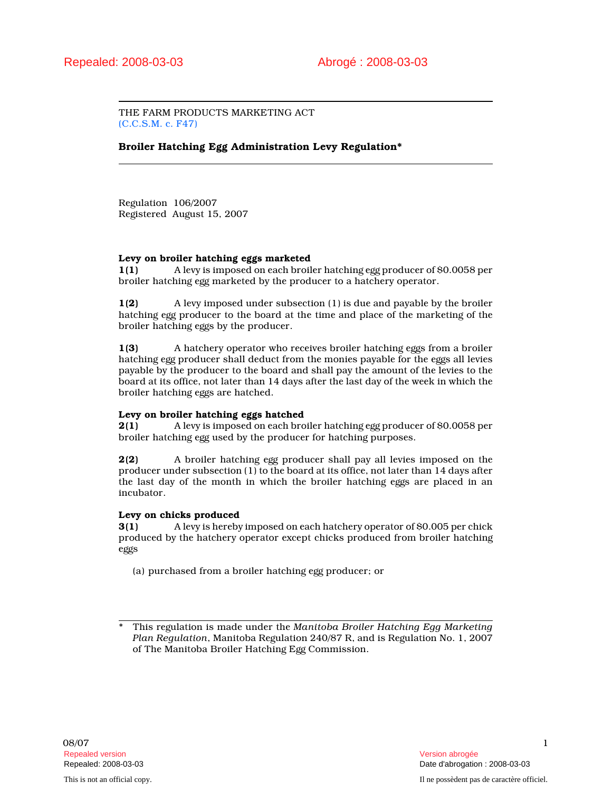THE FARM PRODUCTS MARKETING ACT (C.C.S.M. c. F47)

Broiler Hatching Egg Administration Levy Regulation\*

Regulation 106/2007 Registered August 15, 2007

# Levy on broiler hatching eggs marketed

1(1) A levy is imposed on each broiler hatching egg producer of \$0.0058 per broiler hatching egg marketed by the producer to a hatchery operator.

1(2) A levy imposed under subsection (1) is due and payable by the broiler hatching egg producer to the board at the time and place of the marketing of the broiler hatching eggs by the producer.

1(3) A hatchery operator who receives broiler hatching eggs from a broiler hatching egg producer shall deduct from the monies payable for the eggs all levies payable by the producer to the board and shall pay the amount of the levies to the board at its office, not later than 14 days after the last day of the week in which the broiler hatching eggs are hatched.

# Levy on broiler hatching eggs hatched

2(1) A levy is imposed on each broiler hatching egg producer of \$0.0058 per broiler hatching egg used by the producer for hatching purposes.

2(2) A broiler hatching egg producer shall pay all levies imposed on the producer under subsection (1) to the board at its office, not later than 14 days after the last day of the month in which the broiler hatching eggs are placed in an incubator.

#### Levy on chicks produced

3(1) A levy is hereby imposed on each hatchery operator of \$0.005 per chick produced by the hatchery operator except chicks produced from broiler hatching eggs

(a) purchased from a broiler hatching egg producer; or

This regulation is made under the Manitoba Broiler Hatching Egg Marketing Plan Regulation, Manitoba Regulation 240/87 R, and is Regulation No. 1, 2007 of The Manitoba Broiler Hatching Egg Commission.